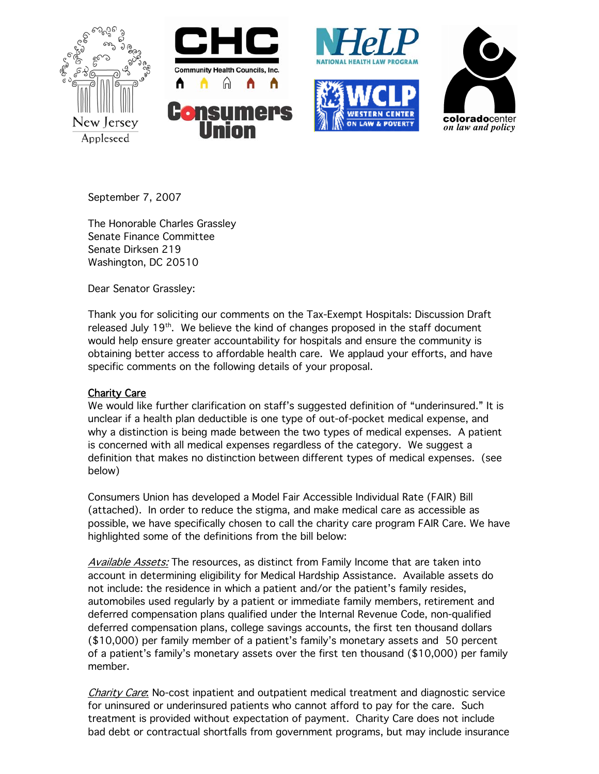







September 7, 2007

The Honorable Charles Grassley Senate Finance Committee Senate Dirksen 219 Washington, DC 20510

Dear Senator Grassley:

Thank you for soliciting our comments on the Tax-Exempt Hospitals: Discussion Draft released July  $19<sup>th</sup>$ . We believe the kind of changes proposed in the staff document would help ensure greater accountability for hospitals and ensure the community is obtaining better access to affordable health care. We applaud your efforts, and have specific comments on the following details of your proposal.

# Charity Care

We would like further clarification on staff's suggested definition of "underinsured." It is unclear if a health plan deductible is one type of out-of-pocket medical expense, and why a distinction is being made between the two types of medical expenses. A patient is concerned with all medical expenses regardless of the category. We suggest a definition that makes no distinction between different types of medical expenses. (see below)

Consumers Union has developed a Model Fair Accessible Individual Rate (FAIR) Bill (attached). In order to reduce the stigma, and make medical care as accessible as possible, we have specifically chosen to call the charity care program FAIR Care. We have highlighted some of the definitions from the bill below:

Available Assets: The resources, as distinct from Family Income that are taken into account in determining eligibility for Medical Hardship Assistance. Available assets do not include: the residence in which a patient and/or the patient's family resides, automobiles used regularly by a patient or immediate family members, retirement and deferred compensation plans qualified under the Internal Revenue Code, non-qualified deferred compensation plans, college savings accounts, the first ten thousand dollars (\$10,000) per family member of a patient's family's monetary assets and 50 percent of a patient's family's monetary assets over the first ten thousand (\$10,000) per family member.

Charity Care: No-cost inpatient and outpatient medical treatment and diagnostic service for uninsured or underinsured patients who cannot afford to pay for the care. Such treatment is provided without expectation of payment. Charity Care does not include bad debt or contractual shortfalls from government programs, but may include insurance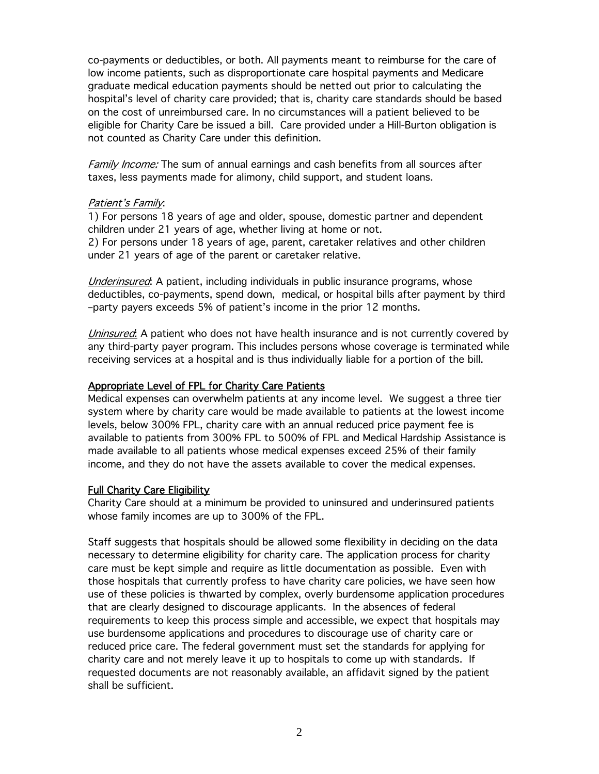co-payments or deductibles, or both. All payments meant to reimburse for the care of low income patients, such as disproportionate care hospital payments and Medicare graduate medical education payments should be netted out prior to calculating the hospital's level of charity care provided; that is, charity care standards should be based on the cost of unreimbursed care. In no circumstances will a patient believed to be eligible for Charity Care be issued a bill. Care provided under a Hill-Burton obligation is not counted as Charity Care under this definition.

Family Income: The sum of annual earnings and cash benefits from all sources after taxes, less payments made for alimony, child support, and student loans.

## Patient's Family:

1) For persons 18 years of age and older, spouse, domestic partner and dependent children under 21 years of age, whether living at home or not. 2) For persons under 18 years of age, parent, caretaker relatives and other children under 21 years of age of the parent or caretaker relative.

Underinsured: A patient, including individuals in public insurance programs, whose deductibles, co-payments, spend down, medical, or hospital bills after payment by third –party payers exceeds 5% of patient's income in the prior 12 months.

Uninsured: A patient who does not have health insurance and is not currently covered by any third-party payer program. This includes persons whose coverage is terminated while receiving services at a hospital and is thus individually liable for a portion of the bill.

# Appropriate Level of FPL for Charity Care Patients

Medical expenses can overwhelm patients at any income level. We suggest a three tier system where by charity care would be made available to patients at the lowest income levels, below 300% FPL, charity care with an annual reduced price payment fee is available to patients from 300% FPL to 500% of FPL and Medical Hardship Assistance is made available to all patients whose medical expenses exceed 25% of their family income, and they do not have the assets available to cover the medical expenses.

# Full Charity Care Eligibility

Charity Care should at a minimum be provided to uninsured and underinsured patients whose family incomes are up to 300% of the FPL.

Staff suggests that hospitals should be allowed some flexibility in deciding on the data necessary to determine eligibility for charity care. The application process for charity care must be kept simple and require as little documentation as possible. Even with those hospitals that currently profess to have charity care policies, we have seen how use of these policies is thwarted by complex, overly burdensome application procedures that are clearly designed to discourage applicants. In the absences of federal requirements to keep this process simple and accessible, we expect that hospitals may use burdensome applications and procedures to discourage use of charity care or reduced price care. The federal government must set the standards for applying for charity care and not merely leave it up to hospitals to come up with standards. If requested documents are not reasonably available, an affidavit signed by the patient shall be sufficient.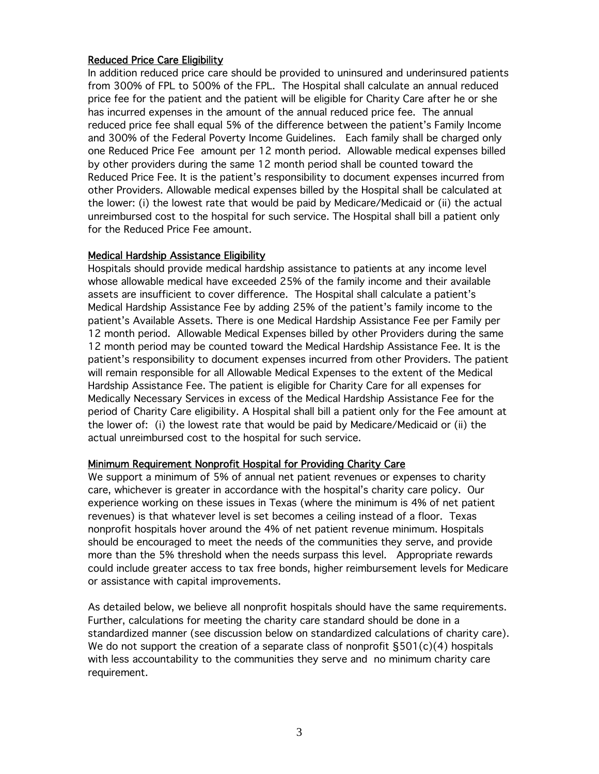# Reduced Price Care Eligibility

In addition reduced price care should be provided to uninsured and underinsured patients from 300% of FPL to 500% of the FPL. The Hospital shall calculate an annual reduced price fee for the patient and the patient will be eligible for Charity Care after he or she has incurred expenses in the amount of the annual reduced price fee. The annual reduced price fee shall equal 5% of the difference between the patient's Family Income and 300% of the Federal Poverty Income Guidelines. Each family shall be charged only one Reduced Price Fee amount per 12 month period. Allowable medical expenses billed by other providers during the same 12 month period shall be counted toward the Reduced Price Fee. It is the patient's responsibility to document expenses incurred from other Providers. Allowable medical expenses billed by the Hospital shall be calculated at the lower: (i) the lowest rate that would be paid by Medicare/Medicaid or (ii) the actual unreimbursed cost to the hospital for such service. The Hospital shall bill a patient only for the Reduced Price Fee amount.

## Medical Hardship Assistance Eligibility

Hospitals should provide medical hardship assistance to patients at any income level whose allowable medical have exceeded 25% of the family income and their available assets are insufficient to cover difference. The Hospital shall calculate a patient's Medical Hardship Assistance Fee by adding 25% of the patient's family income to the patient's Available Assets. There is one Medical Hardship Assistance Fee per Family per 12 month period. Allowable Medical Expenses billed by other Providers during the same 12 month period may be counted toward the Medical Hardship Assistance Fee. It is the patient's responsibility to document expenses incurred from other Providers. The patient will remain responsible for all Allowable Medical Expenses to the extent of the Medical Hardship Assistance Fee. The patient is eligible for Charity Care for all expenses for Medically Necessary Services in excess of the Medical Hardship Assistance Fee for the period of Charity Care eligibility. A Hospital shall bill a patient only for the Fee amount at the lower of: (i) the lowest rate that would be paid by Medicare/Medicaid or (ii) the actual unreimbursed cost to the hospital for such service.

## Minimum Requirement Nonprofit Hospital for Providing Charity Care

We support a minimum of 5% of annual net patient revenues or expenses to charity care, whichever is greater in accordance with the hospital's charity care policy. Our experience working on these issues in Texas (where the minimum is 4% of net patient revenues) is that whatever level is set becomes a ceiling instead of a floor. Texas nonprofit hospitals hover around the 4% of net patient revenue minimum. Hospitals should be encouraged to meet the needs of the communities they serve, and provide more than the 5% threshold when the needs surpass this level. Appropriate rewards could include greater access to tax free bonds, higher reimbursement levels for Medicare or assistance with capital improvements.

As detailed below, we believe all nonprofit hospitals should have the same requirements. Further, calculations for meeting the charity care standard should be done in a standardized manner (see discussion below on standardized calculations of charity care). We do not support the creation of a separate class of nonprofit §501(c)(4) hospitals with less accountability to the communities they serve and no minimum charity care requirement.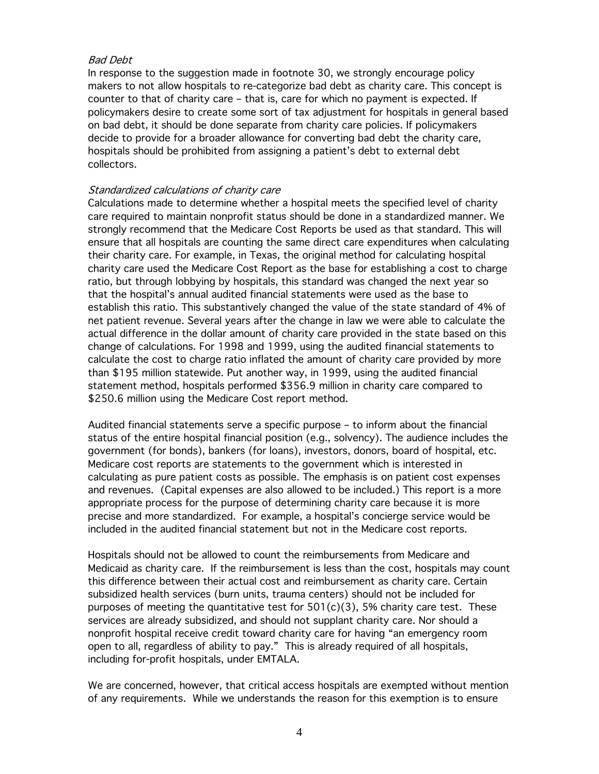# Bad Debt

In response to the suggestion made in footnote 30, we strongly encourage policy makers to not allow hospitals to re-categorize bad debt as charity care. This concept is counter to that of charity care – that is, care for which no payment is expected. If policymakers desire to create some sort of tax adjustment for hospitals in general based on bad debt, it should be done separate from charity care policies. If policymakers decide to provide for a broader allowance for converting bad debt the charity care, hospitals should be prohibited from assigning a patient's debt to external debt collectors.

# Standardized calculations of charity care

Calculations made to determine whether a hospital meets the specified level of charity care required to maintain nonprofit status should be done in a standardized manner. We strongly recommend that the Medicare Cost Reports be used as that standard. This will ensure that all hospitals are counting the same direct care expenditures when calculating their charity care. For example, in Texas, the original method for calculating hospital charity care used the Medicare Cost Report as the base for establishing a cost to charge ratio, but through lobbying by hospitals, this standard was changed the next year so that the hospital's annual audited financial statements were used as the base to establish this ratio. This substantively changed the value of the state standard of 4% of net patient revenue. Several years after the change in law we were able to calculate the actual difference in the dollar amount of charity care provided in the state based on this change of calculations. For 1998 and 1999, using the audited financial statements to calculate the cost to charge ratio inflated the amount of charity care provided by more than \$195 million statewide. Put another way, in 1999, using the audited financial statement method, hospitals performed \$356.9 million in charity care compared to \$250.6 million using the Medicare Cost report method.

Audited financial statements serve a specific purpose – to inform about the financial status of the entire hospital financial position (e.g., solvency). The audience includes the government (for bonds), bankers (for loans), investors, donors, board of hospital, etc. Medicare cost reports are statements to the government which is interested in calculating as pure patient costs as possible. The emphasis is on patient cost expenses and revenues. (Capital expenses are also allowed to be included.) This report is a more appropriate process for the purpose of determining charity care because it is more precise and more standardized. For example, a hospital's concierge service would be included in the audited financial statement but not in the Medicare cost reports.

Hospitals should not be allowed to count the reimbursements from Medicare and Medicaid as charity care. If the reimbursement is less than the cost, hospitals may count this difference between their actual cost and reimbursement as charity care. Certain subsidized health services (burn units, trauma centers) should not be included for purposes of meeting the quantitative test for  $501(c)(3)$ , 5% charity care test. These services are already subsidized, and should not supplant charity care. Nor should a nonprofit hospital receive credit toward charity care for having "an emergency room open to all, regardless of ability to pay." This is already required of all hospitals, including for-profit hospitals, under EMTALA.

We are concerned, however, that critical access hospitals are exempted without mention of any requirements. While we understands the reason for this exemption is to ensure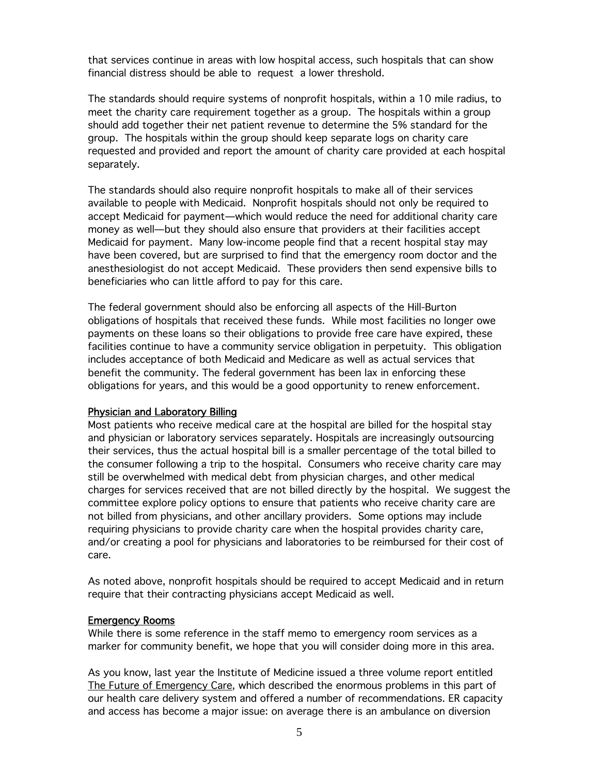that services continue in areas with low hospital access, such hospitals that can show financial distress should be able to request a lower threshold.

The standards should require systems of nonprofit hospitals, within a 10 mile radius, to meet the charity care requirement together as a group. The hospitals within a group should add together their net patient revenue to determine the 5% standard for the group. The hospitals within the group should keep separate logs on charity care requested and provided and report the amount of charity care provided at each hospital separately.

The standards should also require nonprofit hospitals to make all of their services available to people with Medicaid. Nonprofit hospitals should not only be required to accept Medicaid for payment—which would reduce the need for additional charity care money as well—but they should also ensure that providers at their facilities accept Medicaid for payment. Many low-income people find that a recent hospital stay may have been covered, but are surprised to find that the emergency room doctor and the anesthesiologist do not accept Medicaid. These providers then send expensive bills to beneficiaries who can little afford to pay for this care.

The federal government should also be enforcing all aspects of the Hill-Burton obligations of hospitals that received these funds. While most facilities no longer owe payments on these loans so their obligations to provide free care have expired, these facilities continue to have a community service obligation in perpetuity. This obligation includes acceptance of both Medicaid and Medicare as well as actual services that benefit the community. The federal government has been lax in enforcing these obligations for years, and this would be a good opportunity to renew enforcement.

## Physician and Laboratory Billing

Most patients who receive medical care at the hospital are billed for the hospital stay and physician or laboratory services separately. Hospitals are increasingly outsourcing their services, thus the actual hospital bill is a smaller percentage of the total billed to the consumer following a trip to the hospital. Consumers who receive charity care may still be overwhelmed with medical debt from physician charges, and other medical charges for services received that are not billed directly by the hospital. We suggest the committee explore policy options to ensure that patients who receive charity care are not billed from physicians, and other ancillary providers. Some options may include requiring physicians to provide charity care when the hospital provides charity care, and/or creating a pool for physicians and laboratories to be reimbursed for their cost of care.

As noted above, nonprofit hospitals should be required to accept Medicaid and in return require that their contracting physicians accept Medicaid as well.

#### Emergency Rooms

While there is some reference in the staff memo to emergency room services as a marker for community benefit, we hope that you will consider doing more in this area.

As you know, last year the Institute of Medicine issued a three volume report entitled The Future of Emergency Care, which described the enormous problems in this part of our health care delivery system and offered a number of recommendations. ER capacity and access has become a major issue: on average there is an ambulance on diversion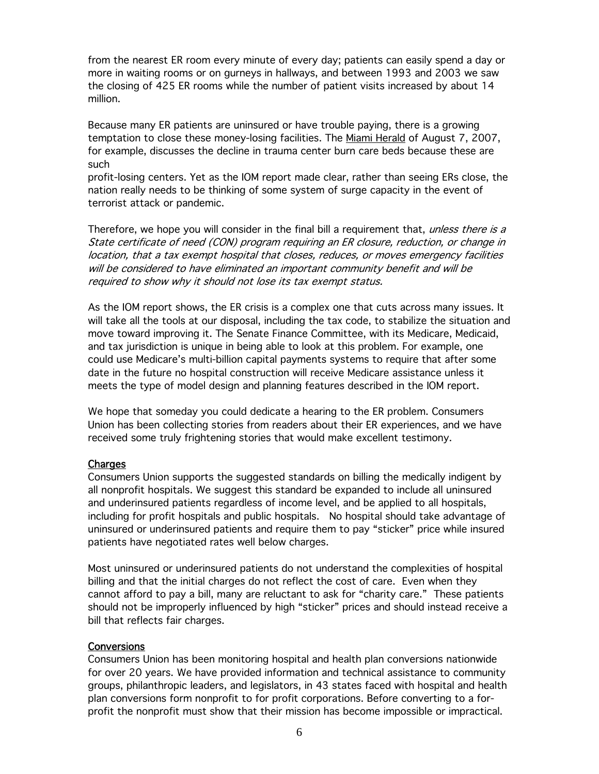from the nearest ER room every minute of every day; patients can easily spend a day or more in waiting rooms or on gurneys in hallways, and between 1993 and 2003 we saw the closing of 425 ER rooms while the number of patient visits increased by about 14 million.

Because many ER patients are uninsured or have trouble paying, there is a growing temptation to close these money-losing facilities. The Miami Herald of August 7, 2007, for example, discusses the decline in trauma center burn care beds because these are such

profit-losing centers. Yet as the IOM report made clear, rather than seeing ERs close, the nation really needs to be thinking of some system of surge capacity in the event of terrorist attack or pandemic.

Therefore, we hope you will consider in the final bill a requirement that, *unless there is a* State certificate of need (CON) program requiring an ER closure, reduction, or change in location, that a tax exempt hospital that closes, reduces, or moves emergency facilities will be considered to have eliminated an important community benefit and will be required to show why it should not lose its tax exempt status.

As the IOM report shows, the ER crisis is a complex one that cuts across many issues. It will take all the tools at our disposal, including the tax code, to stabilize the situation and move toward improving it. The Senate Finance Committee, with its Medicare, Medicaid, and tax jurisdiction is unique in being able to look at this problem. For example, one could use Medicare's multi-billion capital payments systems to require that after some date in the future no hospital construction will receive Medicare assistance unless it meets the type of model design and planning features described in the IOM report.

We hope that someday you could dedicate a hearing to the ER problem. Consumers Union has been collecting stories from readers about their ER experiences, and we have received some truly frightening stories that would make excellent testimony.

## Charges

Consumers Union supports the suggested standards on billing the medically indigent by all nonprofit hospitals. We suggest this standard be expanded to include all uninsured and underinsured patients regardless of income level, and be applied to all hospitals, including for profit hospitals and public hospitals. No hospital should take advantage of uninsured or underinsured patients and require them to pay "sticker" price while insured patients have negotiated rates well below charges.

Most uninsured or underinsured patients do not understand the complexities of hospital billing and that the initial charges do not reflect the cost of care. Even when they cannot afford to pay a bill, many are reluctant to ask for "charity care." These patients should not be improperly influenced by high "sticker" prices and should instead receive a bill that reflects fair charges.

## **Conversions**

Consumers Union has been monitoring hospital and health plan conversions nationwide for over 20 years. We have provided information and technical assistance to community groups, philanthropic leaders, and legislators, in 43 states faced with hospital and health plan conversions form nonprofit to for profit corporations. Before converting to a forprofit the nonprofit must show that their mission has become impossible or impractical.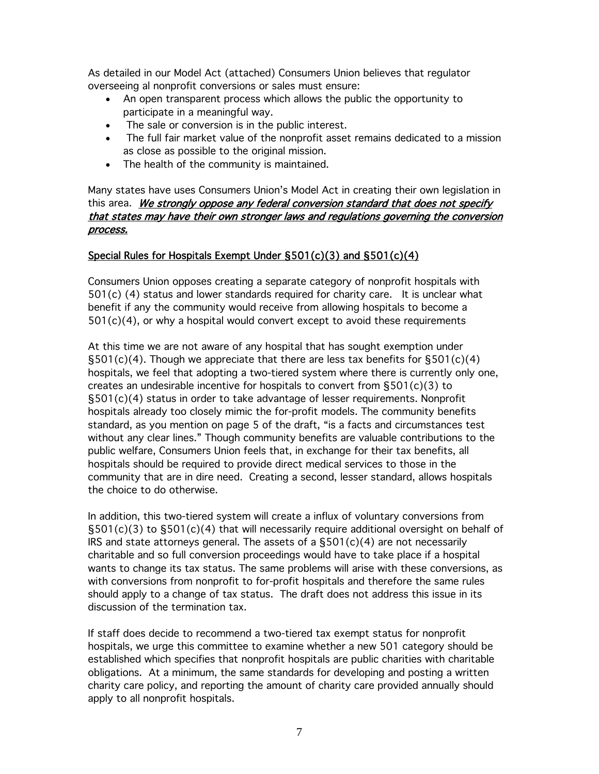As detailed in our Model Act (attached) Consumers Union believes that regulator overseeing al nonprofit conversions or sales must ensure:

- An open transparent process which allows the public the opportunity to participate in a meaningful way.
- The sale or conversion is in the public interest.
- The full fair market value of the nonprofit asset remains dedicated to a mission as close as possible to the original mission.
- The health of the community is maintained.

Many states have uses Consumers Union's Model Act in creating their own legislation in this area. We strongly oppose any federal conversion standard that does not specify that states may have their own stronger laws and regulations governing the conversion process.

# Special Rules for Hospitals Exempt Under §501(c)(3) and §501(c)(4)

Consumers Union opposes creating a separate category of nonprofit hospitals with  $501(c)$  (4) status and lower standards required for charity care. It is unclear what benefit if any the community would receive from allowing hospitals to become a  $501(c)(4)$ , or why a hospital would convert except to avoid these requirements

At this time we are not aware of any hospital that has sought exemption under  $\S501(c)(4)$ . Though we appreciate that there are less tax benefits for  $\S501(c)(4)$ hospitals, we feel that adopting a two-tiered system where there is currently only one, creates an undesirable incentive for hospitals to convert from §501(c)(3) to §501(c)(4) status in order to take advantage of lesser requirements. Nonprofit hospitals already too closely mimic the for-profit models. The community benefits standard, as you mention on page 5 of the draft, "is a facts and circumstances test without any clear lines." Though community benefits are valuable contributions to the public welfare, Consumers Union feels that, in exchange for their tax benefits, all hospitals should be required to provide direct medical services to those in the community that are in dire need. Creating a second, lesser standard, allows hospitals the choice to do otherwise.

In addition, this two-tiered system will create a influx of voluntary conversions from §501(c)(3) to §501(c)(4) that will necessarily require additional oversight on behalf of IRS and state attorneys general. The assets of a  $\S501(c)(4)$  are not necessarily charitable and so full conversion proceedings would have to take place if a hospital wants to change its tax status. The same problems will arise with these conversions, as with conversions from nonprofit to for-profit hospitals and therefore the same rules should apply to a change of tax status. The draft does not address this issue in its discussion of the termination tax.

If staff does decide to recommend a two-tiered tax exempt status for nonprofit hospitals, we urge this committee to examine whether a new 501 category should be established which specifies that nonprofit hospitals are public charities with charitable obligations. At a minimum, the same standards for developing and posting a written charity care policy, and reporting the amount of charity care provided annually should apply to all nonprofit hospitals.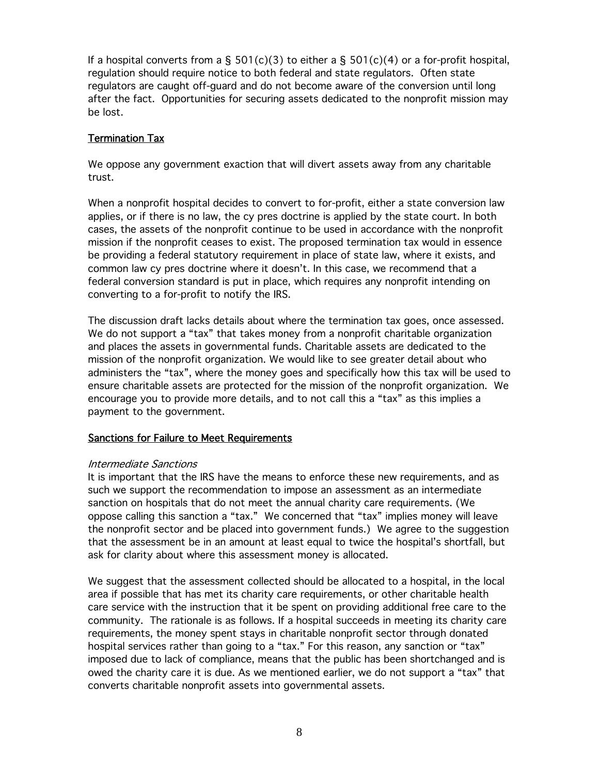If a hospital converts from a  $\S$  501(c)(3) to either a  $\S$  501(c)(4) or a for-profit hospital, regulation should require notice to both federal and state regulators. Often state regulators are caught off-guard and do not become aware of the conversion until long after the fact. Opportunities for securing assets dedicated to the nonprofit mission may be lost.

# Termination Tax

We oppose any government exaction that will divert assets away from any charitable trust.

When a nonprofit hospital decides to convert to for-profit, either a state conversion law applies, or if there is no law, the cy pres doctrine is applied by the state court. In both cases, the assets of the nonprofit continue to be used in accordance with the nonprofit mission if the nonprofit ceases to exist. The proposed termination tax would in essence be providing a federal statutory requirement in place of state law, where it exists, and common law cy pres doctrine where it doesn't. In this case, we recommend that a federal conversion standard is put in place, which requires any nonprofit intending on converting to a for-profit to notify the IRS.

The discussion draft lacks details about where the termination tax goes, once assessed. We do not support a "tax" that takes money from a nonprofit charitable organization and places the assets in governmental funds. Charitable assets are dedicated to the mission of the nonprofit organization. We would like to see greater detail about who administers the "tax", where the money goes and specifically how this tax will be used to ensure charitable assets are protected for the mission of the nonprofit organization. We encourage you to provide more details, and to not call this a "tax" as this implies a payment to the government.

# Sanctions for Failure to Meet Requirements

## Intermediate Sanctions

It is important that the IRS have the means to enforce these new requirements, and as such we support the recommendation to impose an assessment as an intermediate sanction on hospitals that do not meet the annual charity care requirements. (We oppose calling this sanction a "tax." We concerned that "tax" implies money will leave the nonprofit sector and be placed into government funds.) We agree to the suggestion that the assessment be in an amount at least equal to twice the hospital's shortfall, but ask for clarity about where this assessment money is allocated.

We suggest that the assessment collected should be allocated to a hospital, in the local area if possible that has met its charity care requirements, or other charitable health care service with the instruction that it be spent on providing additional free care to the community. The rationale is as follows. If a hospital succeeds in meeting its charity care requirements, the money spent stays in charitable nonprofit sector through donated hospital services rather than going to a "tax." For this reason, any sanction or "tax" imposed due to lack of compliance, means that the public has been shortchanged and is owed the charity care it is due. As we mentioned earlier, we do not support a "tax" that converts charitable nonprofit assets into governmental assets.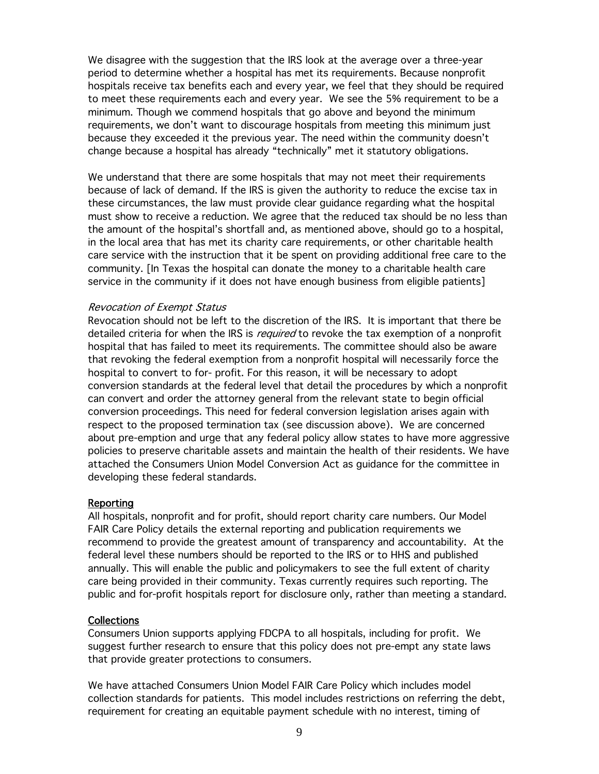We disagree with the suggestion that the IRS look at the average over a three-year period to determine whether a hospital has met its requirements. Because nonprofit hospitals receive tax benefits each and every year, we feel that they should be required to meet these requirements each and every year. We see the 5% requirement to be a minimum. Though we commend hospitals that go above and beyond the minimum requirements, we don't want to discourage hospitals from meeting this minimum just because they exceeded it the previous year. The need within the community doesn't change because a hospital has already "technically" met it statutory obligations.

We understand that there are some hospitals that may not meet their requirements because of lack of demand. If the IRS is given the authority to reduce the excise tax in these circumstances, the law must provide clear guidance regarding what the hospital must show to receive a reduction. We agree that the reduced tax should be no less than the amount of the hospital's shortfall and, as mentioned above, should go to a hospital, in the local area that has met its charity care requirements, or other charitable health care service with the instruction that it be spent on providing additional free care to the community. [In Texas the hospital can donate the money to a charitable health care service in the community if it does not have enough business from eligible patients]

#### Revocation of Exempt Status

Revocation should not be left to the discretion of the IRS. It is important that there be detailed criteria for when the IRS is *required* to revoke the tax exemption of a nonprofit hospital that has failed to meet its requirements. The committee should also be aware that revoking the federal exemption from a nonprofit hospital will necessarily force the hospital to convert to for- profit. For this reason, it will be necessary to adopt conversion standards at the federal level that detail the procedures by which a nonprofit can convert and order the attorney general from the relevant state to begin official conversion proceedings. This need for federal conversion legislation arises again with respect to the proposed termination tax (see discussion above). We are concerned about pre-emption and urge that any federal policy allow states to have more aggressive policies to preserve charitable assets and maintain the health of their residents. We have attached the Consumers Union Model Conversion Act as guidance for the committee in developing these federal standards.

#### Reporting

All hospitals, nonprofit and for profit, should report charity care numbers. Our Model FAIR Care Policy details the external reporting and publication requirements we recommend to provide the greatest amount of transparency and accountability. At the federal level these numbers should be reported to the IRS or to HHS and published annually. This will enable the public and policymakers to see the full extent of charity care being provided in their community. Texas currently requires such reporting. The public and for-profit hospitals report for disclosure only, rather than meeting a standard.

## Collections

Consumers Union supports applying FDCPA to all hospitals, including for profit. We suggest further research to ensure that this policy does not pre-empt any state laws that provide greater protections to consumers.

We have attached Consumers Union Model FAIR Care Policy which includes model collection standards for patients. This model includes restrictions on referring the debt, requirement for creating an equitable payment schedule with no interest, timing of